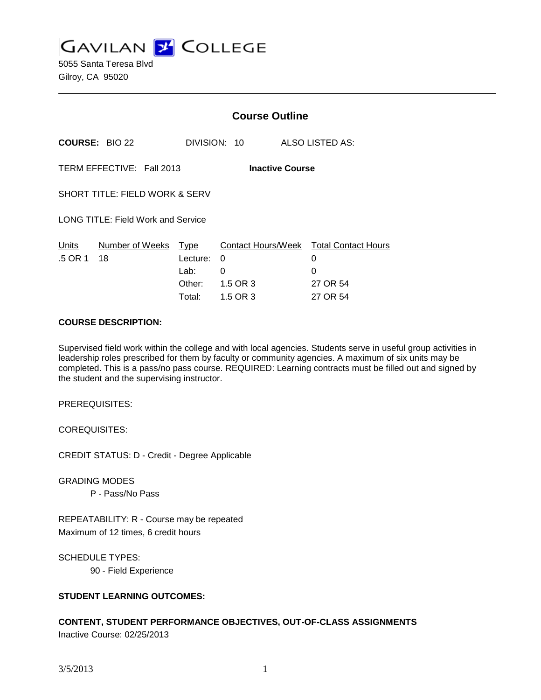**GAVILAN L'OLLEGE** 

5055 Santa Teresa Blvd Gilroy, CA 95020

|                                           |                          | <b>Course Outline</b>  |                                                  |  |
|-------------------------------------------|--------------------------|------------------------|--------------------------------------------------|--|
| <b>COURSE: BIO 22</b>                     |                          | DIVISION: 10           | ALSO LISTED AS:                                  |  |
| TERM EFFECTIVE: Fall 2013                 |                          | <b>Inactive Course</b> |                                                  |  |
| <b>SHORT TITLE: FIELD WORK &amp; SERV</b> |                          |                        |                                                  |  |
| LONG TITLE: Field Work and Service        |                          |                        |                                                  |  |
| Number of Weeks<br>Units<br>.5 OR 1<br>18 | Type<br>Lecture:<br>Lab: | 0<br>0                 | Contact Hours/Week Total Contact Hours<br>0<br>0 |  |
|                                           | Other:<br>Total:         | 1.5 OR 3<br>1.5 OR 3   | 27 OR 54<br>27 OR 54                             |  |

#### **COURSE DESCRIPTION:**

Supervised field work within the college and with local agencies. Students serve in useful group activities in leadership roles prescribed for them by faculty or community agencies. A maximum of six units may be completed. This is a pass/no pass course. REQUIRED: Learning contracts must be filled out and signed by the student and the supervising instructor.

PREREQUISITES:

COREQUISITES:

CREDIT STATUS: D - Credit - Degree Applicable

GRADING MODES

P - Pass/No Pass

REPEATABILITY: R - Course may be repeated Maximum of 12 times, 6 credit hours

SCHEDULE TYPES: 90 - Field Experience

## **STUDENT LEARNING OUTCOMES:**

# **CONTENT, STUDENT PERFORMANCE OBJECTIVES, OUT-OF-CLASS ASSIGNMENTS**

Inactive Course: 02/25/2013